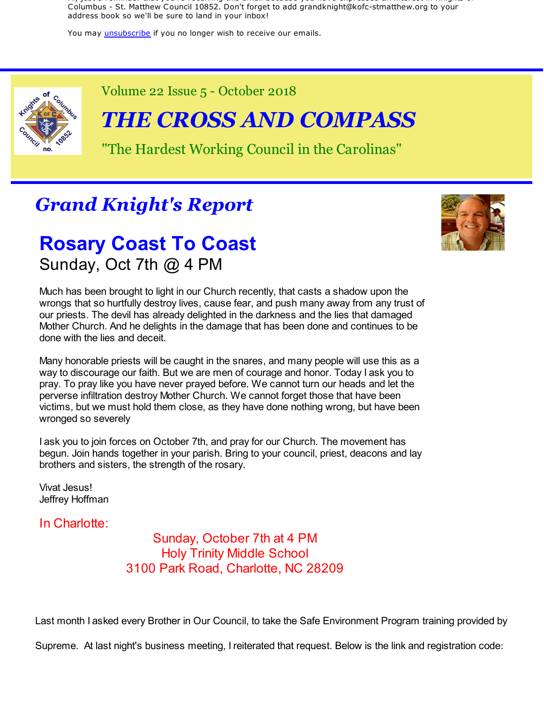Hi, just a reminder that you're receiving this email because you have expressed an interest in Knights of Columbus - St. Matthew Council 10852. Don't forget to add grandknight@kofc-stmatthew.org to your address book so we'll be sure to land in your inbox!

You may *unsubscribe* if you no longer wish to receive our emails.



Volume 22 Issue 5 - October 2018

# *THE CROSS AND COMPASS*

"The Hardest Working Council in the Carolinas"

# *Grand Knight's Report*

### **Rosary Coast To Coast** Sunday, Oct 7th @ 4 PM



Much has been brought to light in our Church recently, that casts a shadow upon the wrongs that so hurtfully destroy lives, cause fear, and push many away from any trust of our priests. The devil has already delighted in the darkness and the lies that damaged Mother Church. And he delights in the damage that has been done and continues to be done with the lies and deceit.

Many honorable priests will be caught in the snares, and many people will use this as a way to discourage our faith. But we are men of courage and honor. Today I ask you to pray. To pray like you have never prayed before. We cannot turn our heads and let the perverse infiltration destroy Mother Church. We cannot forget those that have been victims, but we must hold them close, as they have done nothing wrong, but have been wronged so severely

I ask you to join forces on October 7th, and pray for our Church. The movement has begun. Join hands together in your parish. Bring to your council, priest, deacons and lay brothers and sisters, the strength of the rosary.

Vivat Jesus! Jeffrey Hoffman

In Charlotte:

Sunday, October 7th at 4 PM Holy Trinity Middle School 3100 Park Road, Charlotte, NC 28209

Last month I asked every Brother in Our Council, to take the Safe Environment Program training provided by

Supreme. At last night's business meeting, I reiterated that request. Below is the link and registration code: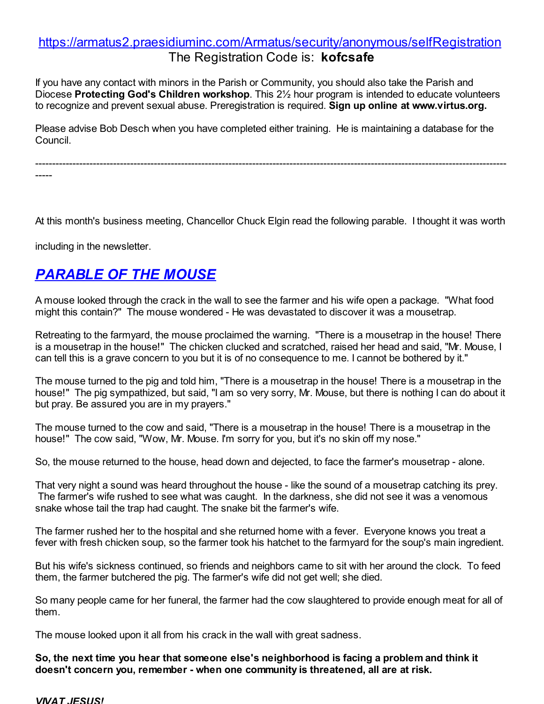#### https://armatus2.praesidiuminc.com/Armatus/security/anonymous/selfRegistration The Registration Code is: **kofcsafe**

If you have any contact with minors in the Parish or Community, you should also take the Parish and Diocese **Protecting God's Children workshop**. This 2½ hour program is intended to educate volunteers to recognize and prevent sexual abuse. Preregistration is required. **Sign up online at www.virtus.org.**

Please advise Bob Desch when you have completed either training. He is maintaining a database for the Council.

-------------------------------------------------------------------------------------------------------------------------------------------

-----

At this month's business meeting, Chancellor Chuck Elgin read the following parable. I thought it was worth

including in the newsletter.

### *PARABLE OF THE MOUSE*

A mouse looked through the crack in the wall to see the farmer and his wife open a package. "What food might this contain?" The mouse wondered - He was devastated to discover it was a mousetrap.

Retreating to the farmyard, the mouse proclaimed the warning. "There is a mousetrap in the house! There is a mousetrap in the house!" The chicken clucked and scratched, raised her head and said, "Mr. Mouse, I can tell this is a grave concern to you but it is of no consequence to me. I cannot be bothered by it."

The mouse turned to the pig and told him, "There is a mousetrap in the house! There is a mousetrap in the house!" The pig sympathized, but said, "I am so very sorry, Mr. Mouse, but there is nothing I can do about it but pray. Be assured you are in my prayers."

The mouse turned to the cow and said, "There is a mousetrap in the house! There is a mousetrap in the house!" The cow said, "Wow, Mr. Mouse. I'm sorry for you, but it's no skin off my nose."

So, the mouse returned to the house, head down and dejected, to face the farmer's mousetrap - alone.

That very night a sound was heard throughout the house - like the sound of a mousetrap catching its prey. The farmer's wife rushed to see what was caught. In the darkness, she did not see it was a venomous snake whose tail the trap had caught. The snake bit the farmer's wife.

The farmer rushed her to the hospital and she returned home with a fever. Everyone knows you treat a fever with fresh chicken soup, so the farmer took his hatchet to the farmyard for the soup's main ingredient.

But his wife's sickness continued, so friends and neighbors came to sit with her around the clock. To feed them, the farmer butchered the pig. The farmer's wife did not get well; she died.

So many people came for her funeral, the farmer had the cow slaughtered to provide enough meat for all of them.

The mouse looked upon it all from his crack in the wall with great sadness.

**So, the next time you hear that someone else's neighborhood is facing a problem and think it doesn't concern you, remember - when one community is threatened, all are at risk.**

#### *VIVAT JESUS!*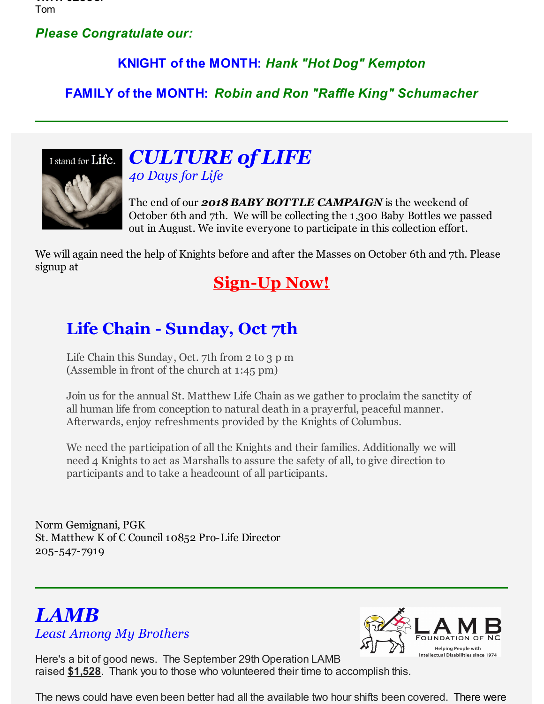*VIVAT JESUS!* Tom

#### *Please Congratulate our:*

#### **KNIGHT of the MONTH:** *Hank "Hot Dog" Kempton*

**FAMILY of the MONTH:** *Robin and Ron "Raffle King" Schumacher*



### *CULTURE of LIFE 40 Days for Life*

The end of our *2018 BABY BOTTLE CAMPAIGN* is the weekend of October 6th and 7th. We will be collecting the 1,300 Baby Bottles we passed out in August. We invite everyone to participate in this collection effort.

We will again need the help of Knights before and after the Masses on October 6th and 7th. Please signup at

### **Sign-Up Now!**

## **Life Chain - Sunday, Oct 7th**

Life Chain this Sunday, Oct. 7th from 2 to 3 p m (Assemble in front of the church at 1:45 pm)

Join us for the annual St. Matthew Life Chain as we gather to proclaim the sanctity of all human life from conception to natural death in a prayerful, peaceful manner. Afterwards, enjoy refreshments provided by the Knights of Columbus.

We need the participation of all the Knights and their families. Additionally we will need 4 Knights to act as Marshalls to assure the safety of all, to give direction to participants and to take a headcount of all participants.

Norm Gemignani, PGK St. Matthew K of C Council 10852 Pro-Life Director 205-547-7919

### *LAMB Least Among My Brothers*



Here's a bit of good news. The September 29th Operation LAMB raised **\$1,528**. Thank you to those who volunteered their time to accomplish this.

The news could have even been better had all the available two hour shifts been covered. There were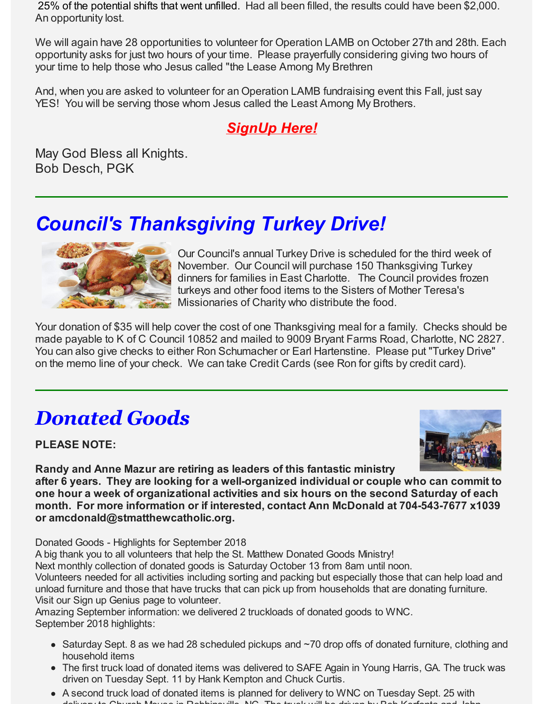25% of the potential shifts that went unfilled. Had all been filled, the results could have been \$2,000. An opportunity lost.

We will again have 28 opportunities to volunteer for Operation LAMB on October 27th and 28th. Each opportunity asks for just two hours of your time. Please prayerfully considering giving two hours of your time to help those who Jesus called "the Lease Among My Brethren

And, when you are asked to volunteer for an Operation LAMB fundraising event this Fall, just say YES! You will be serving those whom Jesus called the Least Among My Brothers.

### *SignUp Here!*

May God Bless all Knights. Bob Desch, PGK

# *Council's Thanksgiving Turkey Drive!*



Our Council's annual Turkey Drive is scheduled for the third week of November. Our Council will purchase 150 Thanksgiving Turkey dinners for families in East Charlotte. The Council provides frozen turkeys and other food items to the Sisters of Mother Teresa's Missionaries of Charity who distribute the food.

Your donation of \$35 will help cover the cost of one Thanksgiving meal for a family. Checks should be made payable to K of C Council 10852 and mailed to 9009 Bryant Farms Road, Charlotte, NC 2827. You can also give checks to either Ron Schumacher or Earl Hartenstine. Please put "Turkey Drive" on the memo line of your check. We can take Credit Cards (see Ron for gifts by credit card).

# *Donated Goods*

**PLEASE NOTE:**



**Randy and Anne Mazur are retiring as leaders of this fantastic ministry after 6 years. They are looking for a well-organized individual or couple who can commit to one hour a week of organizational activities and six hours on the second Saturday of each month. For more information or if interested, contact Ann McDonald at 704-543-7677 x1039 or amcdonald@stmatthewcatholic.org.**

Donated Goods - Highlights for September 2018

A big thank you to all volunteers that help the St. Matthew Donated Goods Ministry!

Next monthly collection of donated goods is Saturday October 13 from 8am until noon.

Volunteers needed for all activities including sorting and packing but especially those that can help load and unload furniture and those that have trucks that can pick up from households that are donating furniture. Visit our Sign up Genius page to volunteer.

Amazing September information: we delivered 2 truckloads of donated goods to WNC. September 2018 highlights:

- Saturday Sept. 8 as we had 28 scheduled pickups and ~70 drop offs of donated furniture, clothing and household items
- The first truck load of donated items was delivered to SAFE Again in Young Harris, GA. The truck was driven on Tuesday Sept. 11 by Hank Kempton and Chuck Curtis.
- A second truck load of donated items is planned for delivery to WNC on Tuesday Sept. 25 with delivery to Church Mouse in Robbinsville, NC. The truck will be driven by Bob Kerfonta and John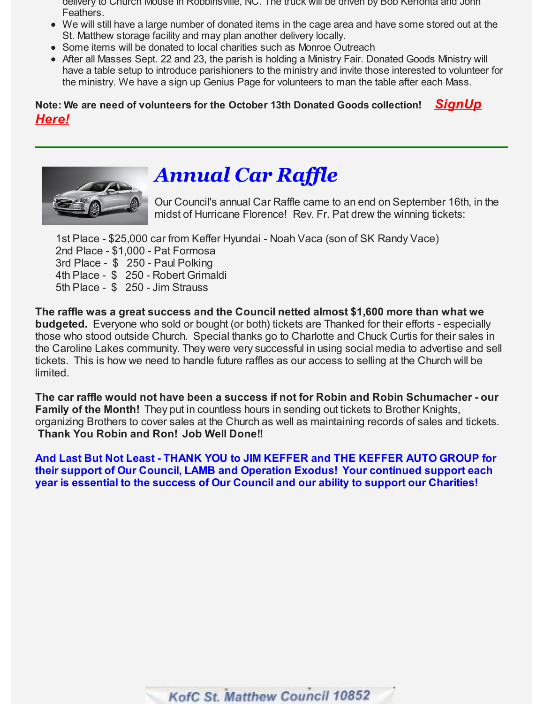- delivery to Church Mouse in Robbinsville, NC. The truck will be driven by Bob Kerfonta and John Feathers.
- We will still have a large number of donated items in the cage area and have some stored out at the St. Matthew storage facility and may plan another delivery locally.
- Some items will be donated to local charities such as Monroe Outreach
- After all Masses Sept. 22 and 23, the parish is holding a Ministry Fair. Donated Goods Ministry will have a table setup to introduce parishioners to the ministry and invite those interested to volunteer for the ministry. We have a sign up Genius Page for volunteers to man the table after each Mass.

#### **Note: We are need of volunteers for the October 13th Donated Goods collection!** *SignUp Here!*



# *Annual Car Raffle*

Our Council's annual Car Raffle came to an end on September 16th, in the midst of Hurricane Florence! Rev. Fr. Pat drew the winning tickets:

1st Place - \$25,000 car from Keffer Hyundai - Noah Vaca (son of SK Randy Vace)

2nd Place - \$1,000 - Pat Formosa

3rd Place - \$ 250 - Paul Polking

4th Place - \$ 250 - Robert Grimaldi

5th Place - \$ 250 - Jim Strauss

**The raffle was a great success and the Council netted almost \$1,600 more than what we budgeted.** Everyone who sold or bought (or both) tickets are Thanked for their efforts - especially those who stood outside Church. Special thanks go to Charlotte and Chuck Curtis for their sales in the Caroline Lakes community. They were very successful in using social media to advertise and sell tickets. This is how we need to handle future raffles as our access to selling at the Church will be limited.

**The car raffle would not have been a success if not for Robin and Robin Schumacher - our Family of the Month!** They put in countless hours in sending out tickets to Brother Knights, organizing Brothers to cover sales at the Church as well as maintaining records of sales and tickets. **Thank You Robin and Ron! Job Well Done!!**

**And Last But Not Least - THANK YOU to JIM KEFFER and THE KEFFER AUTO GROUP for their support of Our Council, LAMB and Operation Exodus! Your continued support each year is essential to the success of Our Council and our ability to support our Charities!**

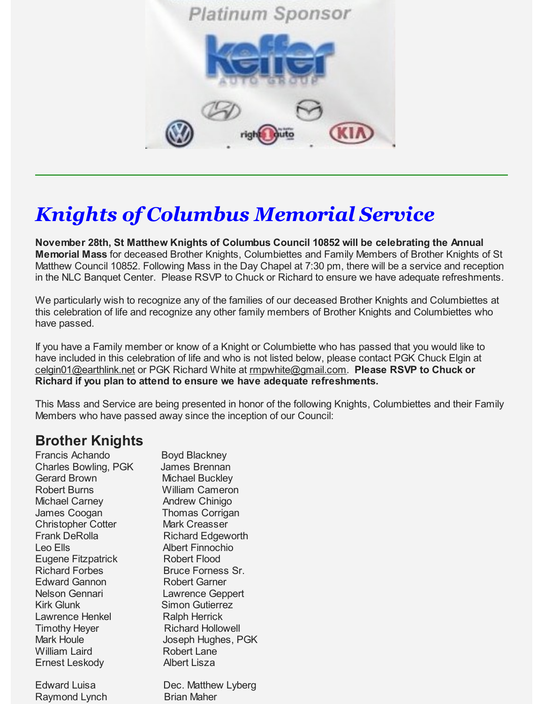

# *Knights of Columbus Memorial Service*

**November 28th, St Matthew Knights of Columbus Council 10852 will be celebrating the Annual Memorial Mass** for deceased Brother Knights, Columbiettes and Family Members of Brother Knights of St Matthew Council 10852. Following Mass in the Day Chapel at 7:30 pm, there will be a service and reception in the NLC Banquet Center. Please RSVP to Chuck or Richard to ensure we have adequate refreshments.

We particularly wish to recognize any of the families of our deceased Brother Knights and Columbiettes at this celebration of life and recognize any other family members of Brother Knights and Columbiettes who have passed.

If you have a Family member or know of a Knight or Columbiette who has passed that you would like to have included in this celebration of life and who is not listed below, please contact PGK Chuck Elgin at celgin01@earthlink.net or PGK Richard White at rmpwhite@gmail.com. **Please RSVP to Chuck or Richard if you plan to attend to ensure we have adequate refreshments.**

This Mass and Service are being presented in honor of the following Knights, Columbiettes and their Family Members who have passed away since the inception of our Council:

#### **Brother Knights**

Francis Achando Boyd Blackney Charles Bowling, PGK James Brennan Gerard Brown Michael Buckley Robert Burns William Cameron Michael Carney **Andrew Chinigo** James Coogan Thomas Corrigan Christopher Cotter Mark Creasser Frank DeRolla **Richard Edgeworth** Leo Ells **Albert Finnochio** Eugene Fitzpatrick Robert Flood Richard Forbes Bruce Forness Sr. Edward Gannon Robert Garner Nelson Gennari Lawrence Geppert Kirk Glunk Simon Gutierrez Lawrence Henkel Ralph Herrick **Timothy Heyer Richard Hollowell** Mark Houle **Joseph Hughes, PGK** William Laird **Robert Lane** Ernest Leskody Albert Lisza

Edward Luisa Dec. Matthew Lyberg Raymond Lynch Brian Maher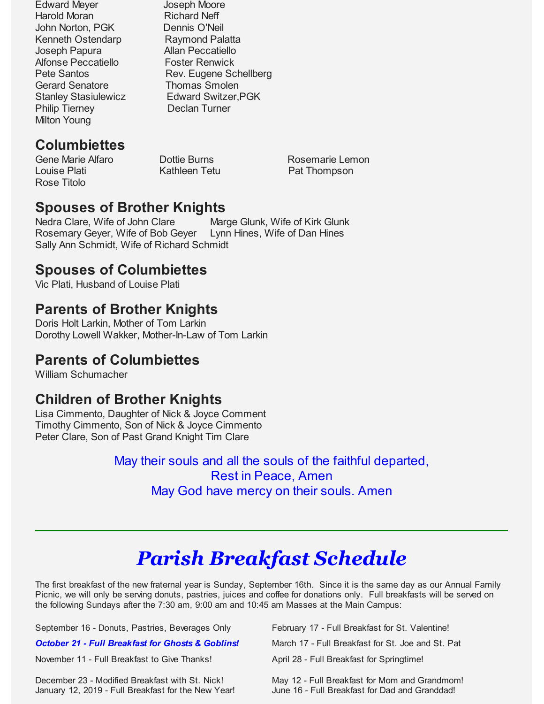Edward Meyer Joseph Moore Harold Moran Richard Neff John Norton, PGK Dennis O'Neil Kenneth Ostendarp Raymond Palatta Joseph Papura **Allan Peccatiello** Alfonse Peccatiello Foster Renwick Gerard Senatore Thomas Smolen Philip Tierney Declan Turner Milton Young

Pete Santos Rev. Eugene Schellberg Stanley Stasiulewicz **Edward Switzer, PGK** 

### **Columbiettes**

Louise Plati **Communist Communist Communist Communist Communist Communist Communist Communist Communist Communist Communist Communist Communist Communist Communist Communist Communist Communist Communist Communist Communis** Rose Titolo

Gene Marie Alfaro Dottie Burns Rosemarie Lemon

### **Spouses of Brother Knights**

Nedra Clare, Wife of John Clare Marge Glunk, Wife of Kirk Glunk Rosemary Geyer, Wife of Bob Geyer Lynn Hines, Wife of Dan Hines Sally Ann Schmidt, Wife of Richard Schmidt

#### **Spouses of Columbiettes**

Vic Plati, Husband of Louise Plati

### **Parents of Brother Knights**

Doris Holt Larkin, Mother of Tom Larkin Dorothy Lowell Wakker, Mother-In-Law of Tom Larkin

#### **Parents of Columbiettes**

William Schumacher

#### **Children of Brother Knights**

Lisa Cimmento, Daughter of Nick & Joyce Comment Timothy Cimmento, Son of Nick & Joyce Cimmento Peter Clare, Son of Past Grand Knight Tim Clare

> May their souls and all the souls of the faithful departed, Rest in Peace, Amen May God have mercy on their souls. Amen

# *Parish Breakfast Schedule*

The first breakfast of the new fraternal year is Sunday, September 16th. Since it is the same day as our Annual Family Picnic, we will only be serving donuts, pastries, juices and coffee for donations only. Full breakfasts will be served on the following Sundays after the 7:30 am, 9:00 am and 10:45 am Masses at the Main Campus:

| September 16 - Donuts, Pastries, Beverages Only                                                        | February 17 - Full Breakfast for St. Valentine!                                                 |
|--------------------------------------------------------------------------------------------------------|-------------------------------------------------------------------------------------------------|
| <b>October 21 - Full Breakfast for Ghosts &amp; Goblins!</b>                                           | March 17 - Full Breakfast for St. Joe and St. Pat                                               |
| November 11 - Full Breakfast to Give Thanks!                                                           | April 28 - Full Breakfast for Springtime!                                                       |
| December 23 - Modified Breakfast with St. Nick!<br>January 12, 2019 - Full Breakfast for the New Year! | May 12 - Full Breakfast for Mom and Grandmom!<br>June 16 - Full Breakfast for Dad and Granddad! |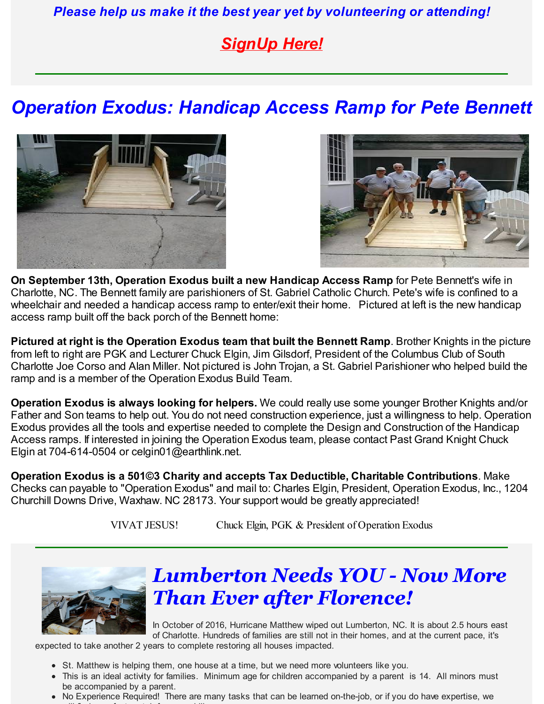*Please help us make it the best year yet by volunteering or attending!*

## *SignUp Here!*

# *Operation Exodus: Handicap Access Ramp for Pete Bennett*





**On September 13th, Operation Exodus built a new Handicap Access Ramp** for Pete Bennett's wife in Charlotte, NC. The Bennett family are parishioners of St. Gabriel Catholic Church. Pete's wife is confined to a wheelchair and needed a handicap access ramp to enter/exit their home. Pictured at left is the new handicap access ramp built off the back porch of the Bennett home:

**Pictured at right is the Operation Exodus team that built the Bennett Ramp**. Brother Knights in the picture from left to right are PGK and Lecturer Chuck Elgin, Jim Gilsdorf, President of the Columbus Club of South Charlotte Joe Corso and Alan Miller. Not pictured is John Trojan, a St. Gabriel Parishioner who helped build the ramp and is a member of the Operation Exodus Build Team.

**Operation Exodus is always looking for helpers.** We could really use some younger Brother Knights and/or Father and Son teams to help out. You do not need construction experience, just a willingness to help. Operation Exodus provides all the tools and expertise needed to complete the Design and Construction of the Handicap Access ramps. If interested in joining the Operation Exodus team, please contact Past Grand Knight Chuck Elgin at 704-614-0504 or celgin01@earthlink.net.

**Operation Exodus is a 501©3 Charity and accepts Tax Deductible, Charitable Contributions**. Make Checks can payable to "Operation Exodus" and mail to: Charles Elgin, President, Operation Exodus, Inc., 1204 Churchill Downs Drive, Waxhaw. NC 28173. Your support would be greatly appreciated!

VIVAT JESUS! Chuck Elgin, PGK & President of Operation Exodus



# *Lumberton Needs YOU - Now More Than Ever after Florence!*

In October of 2016, Hurricane Matthew wiped out Lumberton, NC. It is about 2.5 hours east of Charlotte. Hundreds of families are still not in their homes, and at the current pace, it's

expected to take another 2 years to complete restoring all houses impacted.

- St. Matthew is helping them, one house at a time, but we need more volunteers like you.
- This is an ideal activity for families. Minimum age for children accompanied by a parent is 14. All minors must be accompanied by a parent.
- No Experience Required! There are many tasks that can be learned on-the-job, or if you do have expertise, we will find a perfect match for your skills. The perfect match for your skills. The perfect match for your skill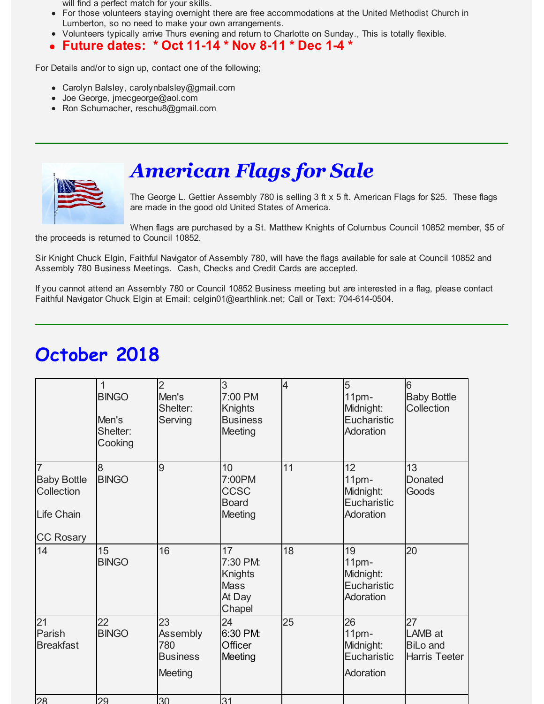will find a perfect match for your skills.

- For those volunteers staying overnight there are free accommodations at the United Methodist Church in Lumberton, so no need to make your own arrangements.
- Volunteers typically arrive Thurs evening and return to Charlotte on Sunday., This is totally flexible.

#### **Future dates: \* Oct 11-14 \* Nov 8-11 \* Dec 1-4 \***  $\bullet$

For Details and/or to sign up, contact one of the following;

- Carolyn Balsley, carolynbalsley@gmail.com
- Joe George, jmecgeorge@aol.com
- Ron Schumacher, reschu8@gmail.com



# *American Flags for Sale*

The George L. Gettier Assembly 780 is selling 3 ft x 5 ft. American Flags for \$25. These flags are made in the good old United States of America.

When flags are purchased by a St. Matthew Knights of Columbus Council 10852 member, \$5 of the proceeds is returned to Council 10852.

Sir Knight Chuck Elgin, Faithful Navigator of Assembly 780, will have the flags available for sale at Council 10852 and Assembly 780 Business Meetings. Cash, Checks and Credit Cards are accepted.

If you cannot attend an Assembly 780 or Council 10852 Business meeting but are interested in a flag, please contact Faithful Navigator Chuck Elgin at Email: celgin01@earthlink.net; Call or Text: 704-614-0504.

|                                                                                             | 1<br><b>BINGO</b><br>Men's<br>Shelter:<br>Cooking | $\overline{2}$<br>Men's<br>Shelter:<br>Serving      | 3<br>7:00 PM<br>Knights<br><b>Business</b><br>Meeting         | $\overline{4}$ | 5<br>11pm-<br>Midnight:<br>Eucharistic<br>Adoration  | 6<br><b>Baby Bottle</b><br>Collection                    |
|---------------------------------------------------------------------------------------------|---------------------------------------------------|-----------------------------------------------------|---------------------------------------------------------------|----------------|------------------------------------------------------|----------------------------------------------------------|
| $\overline{7}$<br><b>Baby Bottle</b><br>Collection<br><b>Life Chain</b><br><b>CC Rosary</b> | 8<br><b>BINGO</b>                                 | 9                                                   | 10<br>7:00PM<br><b>CCSC</b><br><b>Board</b><br><b>Meeting</b> | 11             | 12<br>11pm-<br>Midnight:<br>Eucharistic<br>Adoration | 13<br><b>Donated</b><br>Goods                            |
| 14                                                                                          | 15<br><b>BINGO</b>                                | 16                                                  | 17<br>7:30 PM:<br>Knights<br><b>Mass</b><br>At Day<br>Chapel  | 18             | 19<br>11pm-<br>Midnight:<br>Eucharistic<br>Adoration | 20                                                       |
| 21<br>Parish<br><b>Breakfast</b>                                                            | 22<br><b>BINGO</b>                                | 23<br>Assembly<br>780<br><b>Business</b><br>Meeting | 24<br>6:30 PM:<br>Officer<br>Meeting                          | 25             | 26<br>11pm-<br>Midnight:<br>Eucharistic<br>Adoration | 27<br>LAMB at<br><b>BiLo and</b><br><b>Harris Teeter</b> |
|                                                                                             |                                                   |                                                     |                                                               |                |                                                      |                                                          |

# **October 2018**

28 29 30 31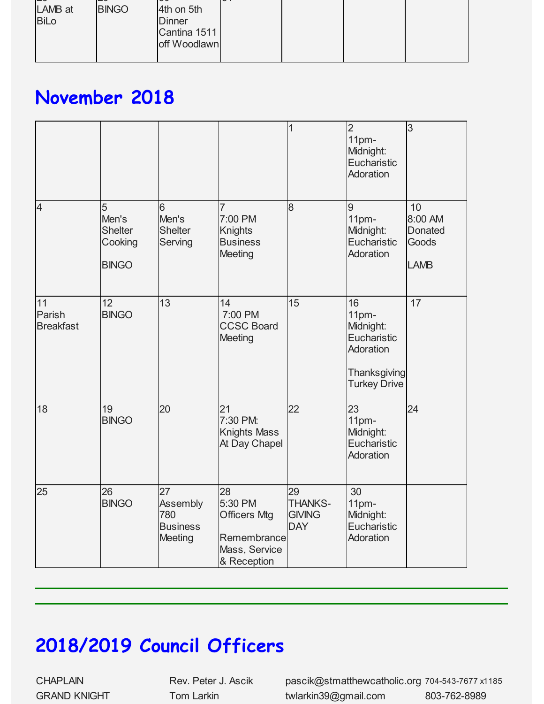| --          | --           | - c           | ີ |  |  |
|-------------|--------------|---------------|---|--|--|
| LAMB at     | <b>BINGO</b> | 4th on 5th    |   |  |  |
| <b>BiLo</b> |              | <b>Dinner</b> |   |  |  |
|             |              | Cantina 1511  |   |  |  |
|             |              | off Woodlawn  |   |  |  |
|             |              |               |   |  |  |

# **November 2018**

|                                  |                                                         |                                                            |                                                                                     | 1                                                   | $\overline{2}$<br>11 <sub>pm</sub><br>Midnight:<br>Eucharistic<br>Adoration                            | 3                                                       |
|----------------------------------|---------------------------------------------------------|------------------------------------------------------------|-------------------------------------------------------------------------------------|-----------------------------------------------------|--------------------------------------------------------------------------------------------------------|---------------------------------------------------------|
| $\overline{4}$                   | 5<br>Men's<br><b>Shelter</b><br>Cooking<br><b>BINGO</b> | 6<br>Men's<br><b>Shelter</b><br>Serving                    | 7<br>7:00 PM<br><b>Knights</b><br><b>Business</b><br>Meeting                        | 8                                                   | 9<br>11 <sub>pm</sub><br>Midnight:<br>Eucharistic<br>Adoration                                         | 10<br>8:00 AM<br><b>Donated</b><br>Goods<br><b>LAMB</b> |
| 11<br>Parish<br><b>Breakfast</b> | 12<br><b>BINGO</b>                                      | 13                                                         | 14<br>7:00 PM<br><b>CCSC Board</b><br>Meeting                                       | 15                                                  | 16<br>11 <sub>pm</sub><br>Midnight:<br>Eucharistic<br>Adoration<br>Thanksgiving<br><b>Turkey Drive</b> | 17                                                      |
| 18                               | 19<br><b>BINGO</b>                                      | 20                                                         | 21<br>7:30 PM:<br><b>Knights Mass</b><br>At Day Chapel                              | 22                                                  | 23<br>11pm-<br>Midnight:<br>Eucharistic<br>Adoration                                                   | 24                                                      |
| 25                               | 26<br><b>BINGO</b>                                      | 27<br>Assembly<br>780<br><b>Business</b><br><b>Meeting</b> | 28<br>5:30 PM<br><b>Officers Mtg</b><br>Remembrance<br>Mass, Service<br>& Reception | 29<br><b>THANKS-</b><br><b>GIVING</b><br><b>DAY</b> | 30<br>11pm-<br>Midnight:<br>Eucharistic<br>Adoration                                                   |                                                         |

# **2018/2019 Council Officers**

CHAPLAIN Rev. Peter J. Ascik pascik@stmatthewcatholic.org 704-543-7677 x1185 GRAND KNIGHT Tom Larkin twlarkin39@gmail.com 803-762-8989